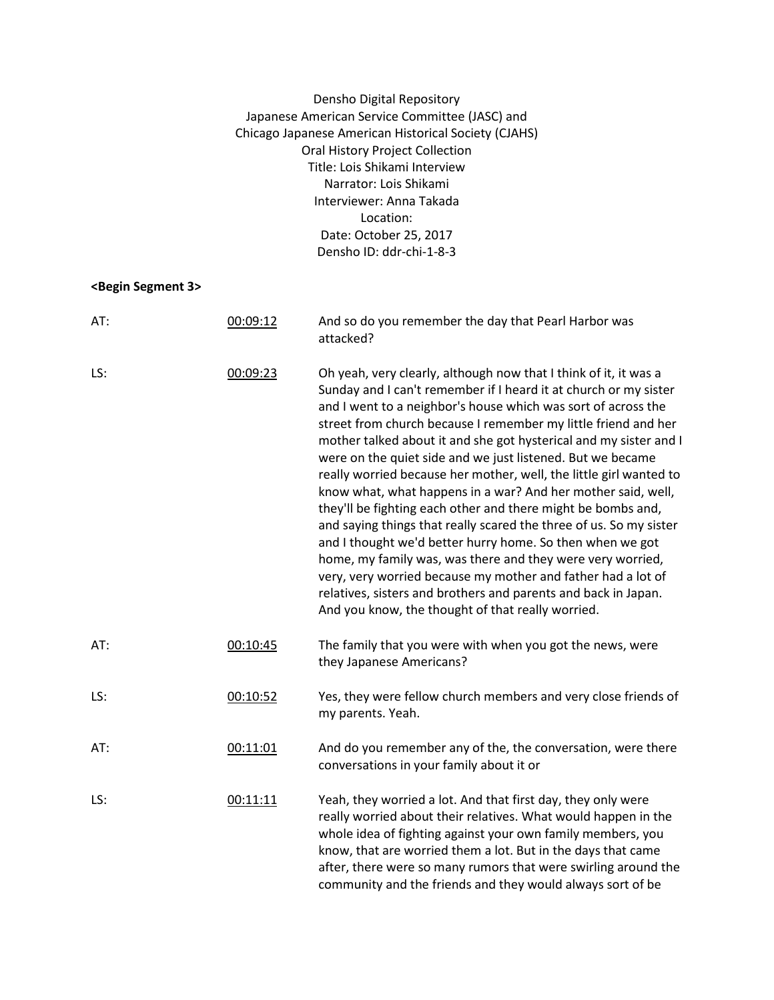| Densho Digital Repository                            |
|------------------------------------------------------|
| Japanese American Service Committee (JASC) and       |
| Chicago Japanese American Historical Society (CJAHS) |
| Oral History Project Collection                      |
| Title: Lois Shikami Interview                        |
| Narrator: Lois Shikami                               |
| Interviewer: Anna Takada                             |
| Location:                                            |
| Date: October 25, 2017                               |
| Densho ID: ddr-chi-1-8-3                             |

## **<Begin Segment 3>**

| AT: | 00:09:12 | And so do you remember the day that Pearl Harbor was<br>attacked?                                                                                                                                                                                                                                                                                                                                                                                                                                                                                                                                                                                                                                                                                                                                                                                                                                                                                                                                        |
|-----|----------|----------------------------------------------------------------------------------------------------------------------------------------------------------------------------------------------------------------------------------------------------------------------------------------------------------------------------------------------------------------------------------------------------------------------------------------------------------------------------------------------------------------------------------------------------------------------------------------------------------------------------------------------------------------------------------------------------------------------------------------------------------------------------------------------------------------------------------------------------------------------------------------------------------------------------------------------------------------------------------------------------------|
| LS: | 00:09:23 | Oh yeah, very clearly, although now that I think of it, it was a<br>Sunday and I can't remember if I heard it at church or my sister<br>and I went to a neighbor's house which was sort of across the<br>street from church because I remember my little friend and her<br>mother talked about it and she got hysterical and my sister and I<br>were on the quiet side and we just listened. But we became<br>really worried because her mother, well, the little girl wanted to<br>know what, what happens in a war? And her mother said, well,<br>they'll be fighting each other and there might be bombs and,<br>and saying things that really scared the three of us. So my sister<br>and I thought we'd better hurry home. So then when we got<br>home, my family was, was there and they were very worried,<br>very, very worried because my mother and father had a lot of<br>relatives, sisters and brothers and parents and back in Japan.<br>And you know, the thought of that really worried. |
| AT: | 00:10:45 | The family that you were with when you got the news, were<br>they Japanese Americans?                                                                                                                                                                                                                                                                                                                                                                                                                                                                                                                                                                                                                                                                                                                                                                                                                                                                                                                    |
| LS: | 00:10:52 | Yes, they were fellow church members and very close friends of<br>my parents. Yeah.                                                                                                                                                                                                                                                                                                                                                                                                                                                                                                                                                                                                                                                                                                                                                                                                                                                                                                                      |
| AT: | 00:11:01 | And do you remember any of the, the conversation, were there<br>conversations in your family about it or                                                                                                                                                                                                                                                                                                                                                                                                                                                                                                                                                                                                                                                                                                                                                                                                                                                                                                 |
| LS: | 00:11:11 | Yeah, they worried a lot. And that first day, they only were<br>really worried about their relatives. What would happen in the<br>whole idea of fighting against your own family members, you<br>know, that are worried them a lot. But in the days that came<br>after, there were so many rumors that were swirling around the<br>community and the friends and they would always sort of be                                                                                                                                                                                                                                                                                                                                                                                                                                                                                                                                                                                                            |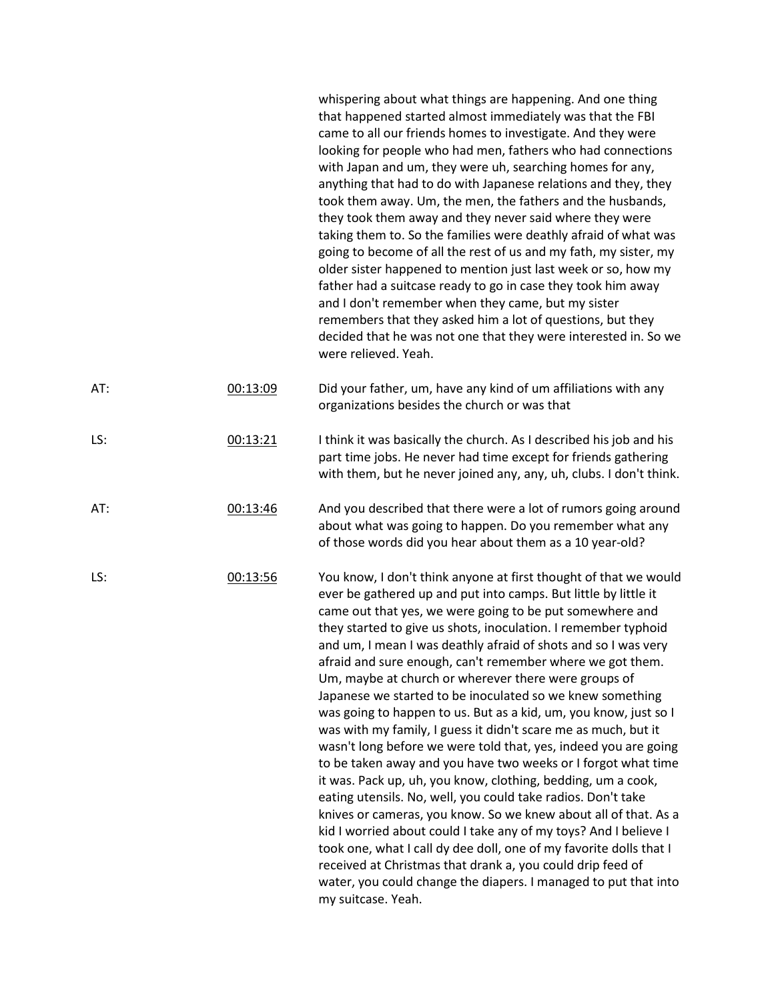|     |          | whispering about what things are happening. And one thing<br>that happened started almost immediately was that the FBI<br>came to all our friends homes to investigate. And they were<br>looking for people who had men, fathers who had connections<br>with Japan and um, they were uh, searching homes for any,<br>anything that had to do with Japanese relations and they, they<br>took them away. Um, the men, the fathers and the husbands,<br>they took them away and they never said where they were<br>taking them to. So the families were deathly afraid of what was<br>going to become of all the rest of us and my fath, my sister, my<br>older sister happened to mention just last week or so, how my<br>father had a suitcase ready to go in case they took him away<br>and I don't remember when they came, but my sister<br>remembers that they asked him a lot of questions, but they<br>decided that he was not one that they were interested in. So we<br>were relieved. Yeah.                                                                                                                                                                                                                                                                                                 |
|-----|----------|-----------------------------------------------------------------------------------------------------------------------------------------------------------------------------------------------------------------------------------------------------------------------------------------------------------------------------------------------------------------------------------------------------------------------------------------------------------------------------------------------------------------------------------------------------------------------------------------------------------------------------------------------------------------------------------------------------------------------------------------------------------------------------------------------------------------------------------------------------------------------------------------------------------------------------------------------------------------------------------------------------------------------------------------------------------------------------------------------------------------------------------------------------------------------------------------------------------------------------------------------------------------------------------------------------|
| AT: | 00:13:09 | Did your father, um, have any kind of um affiliations with any<br>organizations besides the church or was that                                                                                                                                                                                                                                                                                                                                                                                                                                                                                                                                                                                                                                                                                                                                                                                                                                                                                                                                                                                                                                                                                                                                                                                      |
| LS: | 00:13:21 | I think it was basically the church. As I described his job and his<br>part time jobs. He never had time except for friends gathering<br>with them, but he never joined any, any, uh, clubs. I don't think.                                                                                                                                                                                                                                                                                                                                                                                                                                                                                                                                                                                                                                                                                                                                                                                                                                                                                                                                                                                                                                                                                         |
| AT: | 00:13:46 | And you described that there were a lot of rumors going around<br>about what was going to happen. Do you remember what any<br>of those words did you hear about them as a 10 year-old?                                                                                                                                                                                                                                                                                                                                                                                                                                                                                                                                                                                                                                                                                                                                                                                                                                                                                                                                                                                                                                                                                                              |
| LS: | 00:13:56 | You know, I don't think anyone at first thought of that we would<br>ever be gathered up and put into camps. But little by little it<br>came out that yes, we were going to be put somewhere and<br>they started to give us shots, inoculation. I remember typhoid<br>and um, I mean I was deathly afraid of shots and so I was very<br>afraid and sure enough, can't remember where we got them.<br>Um, maybe at church or wherever there were groups of<br>Japanese we started to be inoculated so we knew something<br>was going to happen to us. But as a kid, um, you know, just so I<br>was with my family, I guess it didn't scare me as much, but it<br>wasn't long before we were told that, yes, indeed you are going<br>to be taken away and you have two weeks or I forgot what time<br>it was. Pack up, uh, you know, clothing, bedding, um a cook,<br>eating utensils. No, well, you could take radios. Don't take<br>knives or cameras, you know. So we knew about all of that. As a<br>kid I worried about could I take any of my toys? And I believe I<br>took one, what I call dy dee doll, one of my favorite dolls that I<br>received at Christmas that drank a, you could drip feed of<br>water, you could change the diapers. I managed to put that into<br>my suitcase. Yeah. |